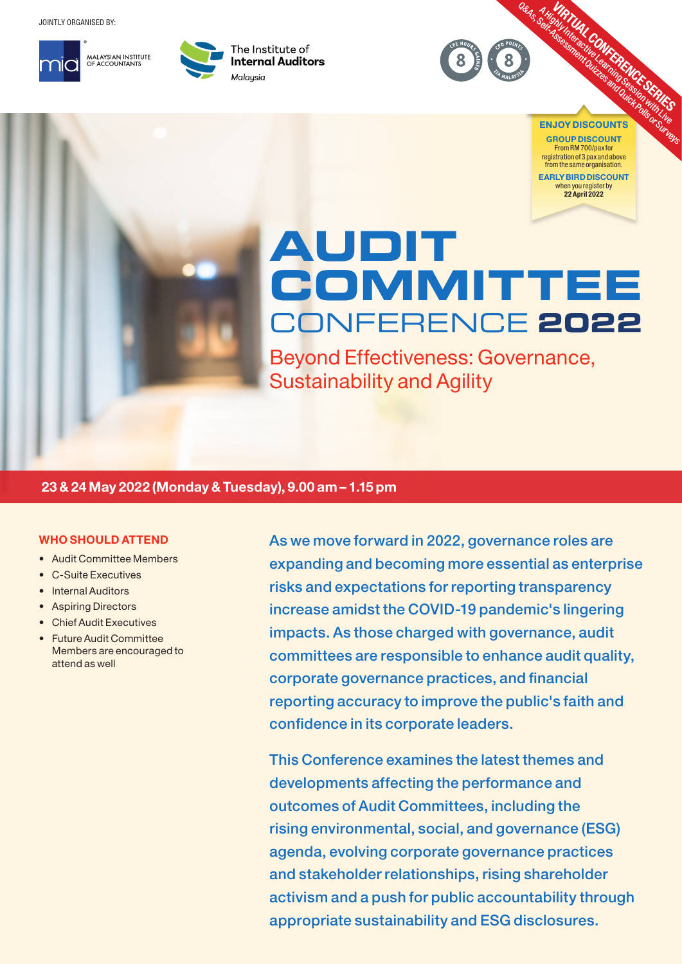JOINTLY ORGANISED BY:





The Institute of **Internal Auditors** Malaysia



EARLY BIRD DISCOUNT when you register by 22 April 2022

# **AUDIT COMMITTEE** CONFERENCE **2022**

Beyond Effectiveness: Governance, Sustainability and Agility

## 23 & 24 May 2022 (Monday & Tuesday), 9.00 am – 1.15 pm

### WHO SHOULD ATTEND

- Audit Committee Members
- C-Suite Executives
- Internal Auditors
- Aspiring Directors
- Chief Audit Executives
- Future Audit Committee Members are encouraged to attend as well

As we move forward in 2022, governance roles are expanding and becoming more essential as enterprise risks and expectations for reporting transparency increase amidst the COVID-19 pandemic's lingering impacts. As those charged with governance, audit committees are responsible to enhance audit quality, corporate governance practices, and financial reporting accuracy to improve the public's faith and confidence in its corporate leaders.

This Conference examines the latest themes and developments affecting the performance and outcomes of Audit Committees, including the rising environmental, social, and governance (ESG) agenda, evolving corporate governance practices and stakeholder relationships, rising shareholder activism and a push for public accountability through appropriate sustainability and ESG disclosures.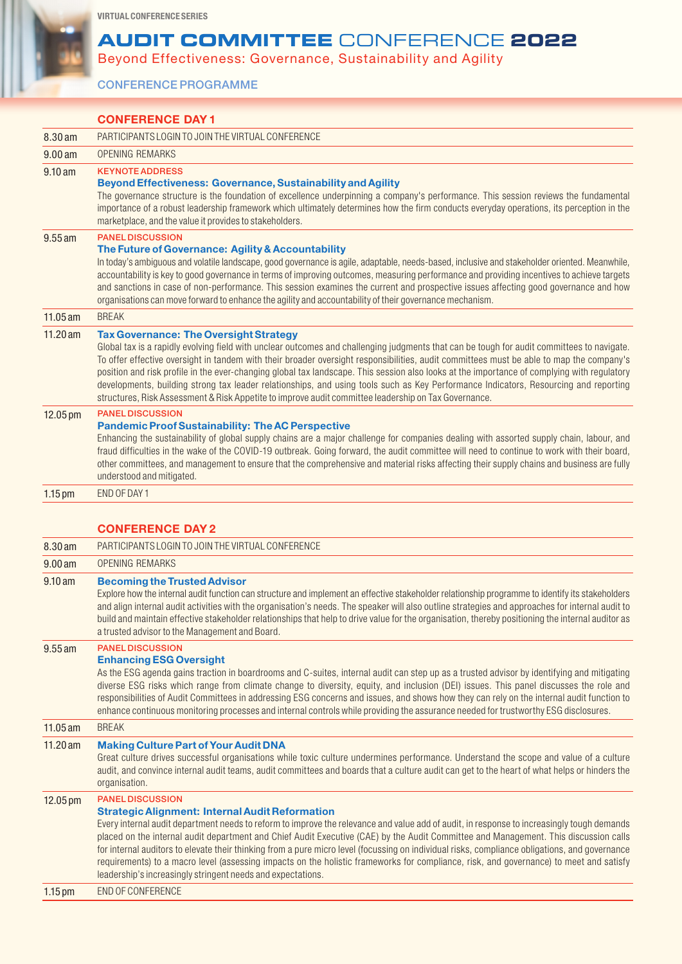VIRTUAL CONFERENCE SERIES

## **AUDIT COMMITTEE** CONFERENCE **2022**

Beyond Effectiveness: Governance, Sustainability and Agility

CONFERENCE PROGRAMME

|                      | <b>CONFERENCE DAY 1</b>                                                                                                                                                                                                                                                                                                                                                                                                                                                                                                                                                                                                                                                                                                                                 |  |  |
|----------------------|---------------------------------------------------------------------------------------------------------------------------------------------------------------------------------------------------------------------------------------------------------------------------------------------------------------------------------------------------------------------------------------------------------------------------------------------------------------------------------------------------------------------------------------------------------------------------------------------------------------------------------------------------------------------------------------------------------------------------------------------------------|--|--|
| 8.30 am              | PARTICIPANTS LOGIN TO JOIN THE VIRTUAL CONFERENCE                                                                                                                                                                                                                                                                                                                                                                                                                                                                                                                                                                                                                                                                                                       |  |  |
| 9.00 a m             | OPENING REMARKS                                                                                                                                                                                                                                                                                                                                                                                                                                                                                                                                                                                                                                                                                                                                         |  |  |
| 9.10 am              | <b>KEYNOTE ADDRESS</b><br>Beyond Effectiveness: Governance, Sustainability and Agility<br>The governance structure is the foundation of excellence underpinning a company's performance. This session reviews the fundamental<br>importance of a robust leadership framework which ultimately determines how the firm conducts everyday operations, its perception in the<br>marketplace, and the value it provides to stakeholders.                                                                                                                                                                                                                                                                                                                    |  |  |
| $9.55$ am            | <b>PANEL DISCUSSION</b><br>The Future of Governance: Agility & Accountability<br>In today's ambiguous and volatile landscape, good governance is agile, adaptable, needs-based, inclusive and stakeholder oriented. Meanwhile,<br>accountability is key to good governance in terms of improving outcomes, measuring performance and providing incentives to achieve targets<br>and sanctions in case of non-performance. This session examines the current and prospective issues affecting good governance and how<br>organisations can move forward to enhance the agility and accountability of their governance mechanism.                                                                                                                         |  |  |
| 11.05 am             | <b>BREAK</b>                                                                                                                                                                                                                                                                                                                                                                                                                                                                                                                                                                                                                                                                                                                                            |  |  |
| $11.20$ am           | <b>Tax Governance: The Oversight Strategy</b><br>Global tax is a rapidly evolving field with unclear outcomes and challenging judgments that can be tough for audit committees to navigate.<br>To offer effective oversight in tandem with their broader oversight responsibilities, audit committees must be able to map the company's<br>position and risk profile in the ever-changing global tax landscape. This session also looks at the importance of complying with regulatory<br>developments, building strong tax leader relationships, and using tools such as Key Performance Indicators, Resourcing and reporting<br>structures, Risk Assessment & Risk Appetite to improve audit committee leadership on Tax Governance.                  |  |  |
| 12.05 pm             | <b>PANEL DISCUSSION</b><br><b>Pandemic Proof Sustainability: The AC Perspective</b><br>Enhancing the sustainability of global supply chains are a major challenge for companies dealing with assorted supply chain, labour, and<br>fraud difficulties in the wake of the COVID-19 outbreak. Going forward, the audit committee will need to continue to work with their board,<br>other committees, and management to ensure that the comprehensive and material risks affecting their supply chains and business are fully<br>understood and mitigated.                                                                                                                                                                                                |  |  |
| $1.15 \,\mathrm{pm}$ | END OF DAY 1                                                                                                                                                                                                                                                                                                                                                                                                                                                                                                                                                                                                                                                                                                                                            |  |  |
|                      | <b>CONFERENCE DAY 2</b>                                                                                                                                                                                                                                                                                                                                                                                                                                                                                                                                                                                                                                                                                                                                 |  |  |
| 8.30 am              |                                                                                                                                                                                                                                                                                                                                                                                                                                                                                                                                                                                                                                                                                                                                                         |  |  |
|                      |                                                                                                                                                                                                                                                                                                                                                                                                                                                                                                                                                                                                                                                                                                                                                         |  |  |
|                      | PARTICIPANTS LOGIN TO JOIN THE VIRTUAL CONFERENCE<br><b>OPENING REMARKS</b>                                                                                                                                                                                                                                                                                                                                                                                                                                                                                                                                                                                                                                                                             |  |  |
| 9.00 a m<br>9.10 am  | <b>Becoming the Trusted Advisor</b><br>Explore how the internal audit function can structure and implement an effective stakeholder relationship programme to identify its stakeholders<br>and align internal audit activities with the organisation's needs. The speaker will also outline strategies and approaches for internal audit to<br>build and maintain effective stakeholder relationships that help to drive value for the organisation, thereby positioning the internal auditor as                                                                                                                                                                                                                                                        |  |  |
| $9.55$ am            | a trusted advisor to the Management and Board.<br><b>PANEL DISCUSSION</b><br><b>Enhancing ESG Oversight</b><br>As the ESG agenda gains traction in boardrooms and C-suites, internal audit can step up as a trusted advisor by identifying and mitigating<br>diverse ESG risks which range from climate change to diversity, equity, and inclusion (DEI) issues. This panel discusses the role and<br>responsibilities of Audit Committees in addressing ESG concerns and issues, and shows how they can rely on the internal audit function to<br>enhance continuous monitoring processes and internal controls while providing the assurance needed for trustworthy ESG disclosures.                                                                  |  |  |
| 11.05 am             | <b>BREAK</b>                                                                                                                                                                                                                                                                                                                                                                                                                                                                                                                                                                                                                                                                                                                                            |  |  |
| 11.20 am             | <b>Making Culture Part of Your Audit DNA</b><br>Great culture drives successful organisations while toxic culture undermines performance. Understand the scope and value of a culture<br>audit, and convince internal audit teams, audit committees and boards that a culture audit can get to the heart of what helps or hinders the<br>organisation.                                                                                                                                                                                                                                                                                                                                                                                                  |  |  |
| 12.05 pm             | <b>PANEL DISCUSSION</b><br><b>Strategic Alignment: Internal Audit Reformation</b><br>Every internal audit department needs to reform to improve the relevance and value add of audit, in response to increasingly tough demands<br>placed on the internal audit department and Chief Audit Executive (CAE) by the Audit Committee and Management. This discussion calls<br>for internal auditors to elevate their thinking from a pure micro level (focussing on individual risks, compliance obligations, and governance<br>requirements) to a macro level (assessing impacts on the holistic frameworks for compliance, risk, and governance) to meet and satisfy<br>leadership's increasingly stringent needs and expectations.<br>END OF CONFERENCE |  |  |